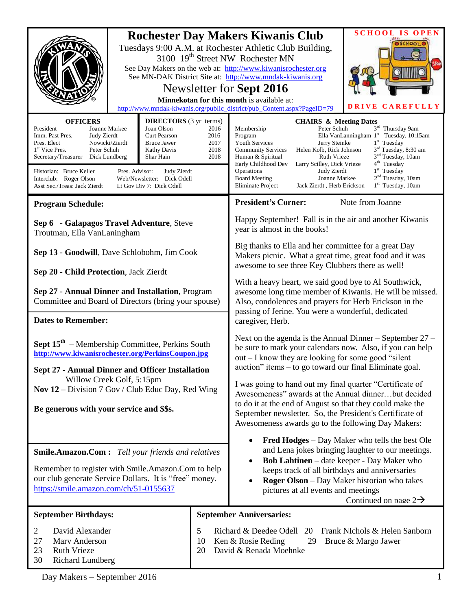| <b>OFFICERS</b><br>President<br>Joanne Markee<br>Imm. Past Pres.<br>Judy Zierdt<br>Pres. Elect<br>Nowicki/Zierdt<br>1 <sup>st</sup> Vice Pres.<br>Peter Schuh<br>Secretary/Treasurer<br>Dick Lundberg<br>Historian: Bruce Keller<br>Pres. Advisor:<br>Interclub: Roger Olson                                                                                                                                                                                                                                                                                                                                                                   | 3100 19 <sup>th</sup> Street NW Rochester MN<br>Newsletter for Sept 2016<br>Minnekotan for this month is available at:<br><b>DIRECTORS</b> (3 yr terms)<br>Joan Olson<br>2016<br><b>Curt Pearson</b><br>2016<br>2017<br><b>Bruce Jawer</b><br>2018<br><b>Kathy Davis</b><br>2018<br>Shar Hain<br>Judy Zierdt<br>Web/Newsletter: Dick Odell | <b>SCHOOL IS OPEN</b><br><b>Rochester Day Makers Kiwanis Club</b><br><b>OSCHOOL</b><br>Tuesdays 9:00 A.M. at Rochester Athletic Club Building,<br>See Day Makers on the web at: http://www.kiwanisrochester.org<br>See MN-DAK District Site at: http://www.mndak-kiwanis.org<br><b>CAREFULLY</b><br>http://www.mndak-kiwanis.org/public_district/pub_Content.aspx?PageID=79<br><b>CHAIRS &amp; Meeting Dates</b><br>$3^{\rm rd}$ Thursday 9am<br>Membership<br>Peter Schuh<br>Ella VanLanningham 1st Tuesday, 10:15am<br>Program<br><b>Youth Services</b><br>$1st$ Tuesday<br>Jerry Steinke<br>3 <sup>rd</sup> Tuesday, 8:30 am<br><b>Community Services</b><br>Helen Kolb, Rick Johnson<br>3 <sup>nd</sup> Tuesday, 10am<br>Human & Spiritual<br><b>Ruth Vrieze</b><br>4 <sup>th</sup> Tuesday<br>Early Childhood Dev<br>Larry Scilley, Dick Vrieze<br>$1st$ Tuesday<br>Operations<br>Judy Zierdt<br>2 <sup>nd</sup> Tuesday, 10am<br><b>Board Meeting</b><br>Joanne Markee                                      |  |
|------------------------------------------------------------------------------------------------------------------------------------------------------------------------------------------------------------------------------------------------------------------------------------------------------------------------------------------------------------------------------------------------------------------------------------------------------------------------------------------------------------------------------------------------------------------------------------------------------------------------------------------------|--------------------------------------------------------------------------------------------------------------------------------------------------------------------------------------------------------------------------------------------------------------------------------------------------------------------------------------------|-------------------------------------------------------------------------------------------------------------------------------------------------------------------------------------------------------------------------------------------------------------------------------------------------------------------------------------------------------------------------------------------------------------------------------------------------------------------------------------------------------------------------------------------------------------------------------------------------------------------------------------------------------------------------------------------------------------------------------------------------------------------------------------------------------------------------------------------------------------------------------------------------------------------------------------------------------------------------------------------------------------------|--|
| Asst Sec./Treas: Jack Zierdt<br>Lt Gov Div 7: Dick Odell                                                                                                                                                                                                                                                                                                                                                                                                                                                                                                                                                                                       |                                                                                                                                                                                                                                                                                                                                            | $1st$ Tuesday, 10am<br>Eliminate Project<br>Jack Zierdt, Herb Erickson<br><b>President's Corner:</b><br>Note from Joanne                                                                                                                                                                                                                                                                                                                                                                                                                                                                                                                                                                                                                                                                                                                                                                                                                                                                                          |  |
| <b>Program Schedule:</b><br>Sep 6 - Galapagos Travel Adventure, Steve<br>Troutman, Ella VanLaningham<br>Sep 13 - Goodwill, Dave Schlobohm, Jim Cook<br>Sep 20 - Child Protection, Jack Zierdt<br>Sep 27 - Annual Dinner and Installation, Program<br>Committee and Board of Directors (bring your spouse)<br><b>Dates to Remember:</b><br><b>Sept 15th</b> – Membership Committee, Perkins South<br>http://www.kiwanisrochester.org/PerkinsCoupon.jpg<br><b>Sept 27 - Annual Dinner and Officer Installation</b><br>Willow Creek Golf, 5:15pm<br>Nov 12 – Division 7 Gov / Club Educ Day, Red Wing<br>Be generous with your service and \$\$s. |                                                                                                                                                                                                                                                                                                                                            | Happy September! Fall is in the air and another Kiwanis<br>year is almost in the books!<br>Big thanks to Ella and her committee for a great Day<br>Makers picnic. What a great time, great food and it was<br>awesome to see three Key Clubbers there as well!<br>With a heavy heart, we said good bye to Al Southwick,<br>awesome long time member of Kiwanis. He will be missed.<br>Also, condolences and prayers for Herb Erickson in the<br>passing of Jerine. You were a wonderful, dedicated<br>caregiver, Herb.<br>Next on the agenda is the Annual Dinner – September $27$ –<br>be sure to mark your calendars now. Also, if you can help<br>out $-1$ know they are looking for some good "silent"<br>auction" items – to go toward our final Eliminate goal.<br>I was going to hand out my final quarter "Certificate of<br>Awesomeness" awards at the Annual dinnerbut decided<br>to do it at the end of August so that they could make the<br>September newsletter. So, the President's Certificate of |  |
|                                                                                                                                                                                                                                                                                                                                                                                                                                                                                                                                                                                                                                                |                                                                                                                                                                                                                                                                                                                                            | Awesomeness awards go to the following Day Makers:<br><b>Fred Hodges</b> – Day Maker who tells the best Ole                                                                                                                                                                                                                                                                                                                                                                                                                                                                                                                                                                                                                                                                                                                                                                                                                                                                                                       |  |
| <b>Smile.Amazon.Com:</b> Tell your friends and relatives<br>Remember to register with Smile.Amazon.Com to help<br>our club generate Service Dollars. It is "free" money.<br>https://smile.amazon.com/ch/51-0155637                                                                                                                                                                                                                                                                                                                                                                                                                             |                                                                                                                                                                                                                                                                                                                                            | and Lena jokes bringing laughter to our meetings.<br>Bob Lahtinen - date keeper - Day Maker who<br>keeps track of all birthdays and anniversaries<br>Roger Olson - Day Maker historian who takes<br>pictures at all events and meetings<br>Continued on page $2\rightarrow$                                                                                                                                                                                                                                                                                                                                                                                                                                                                                                                                                                                                                                                                                                                                       |  |
| <b>September Birthdays:</b><br>David Alexander<br>5<br>2<br>Marv Anderson<br>27<br>10<br>23<br><b>Ruth Vrieze</b><br>20<br>30<br><b>Richard Lundberg</b>                                                                                                                                                                                                                                                                                                                                                                                                                                                                                       |                                                                                                                                                                                                                                                                                                                                            | <b>September Anniversaries:</b><br>Richard & Deedee Odell<br>Frank NIchols & Helen Sanborn<br>20<br>Ken & Rosie Reding<br>Bruce & Margo Jawer<br>29<br>David & Renada Moehnke                                                                                                                                                                                                                                                                                                                                                                                                                                                                                                                                                                                                                                                                                                                                                                                                                                     |  |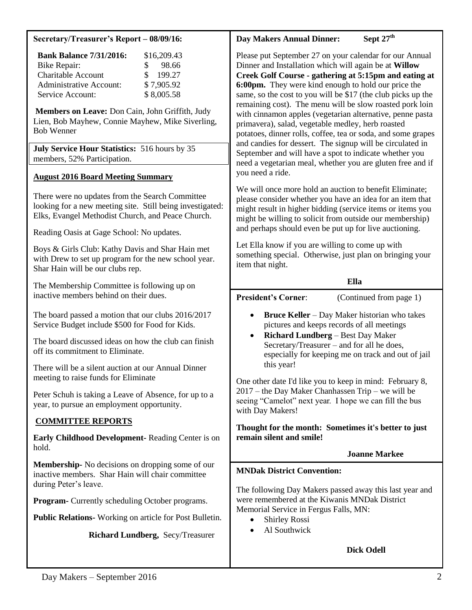#### **Secretary/Treasurer's Report – 08/09/16:**

| <b>Bank Balance 7/31/2016:</b> | \$16,209.43             |
|--------------------------------|-------------------------|
| Bike Repair:                   | 98.66<br>$\mathcal{S}$  |
| <b>Charitable Account</b>      | 199.27<br>$\mathcal{S}$ |
| <b>Administrative Account:</b> | \$7,905.92              |
| Service Account:               | \$8,005.58              |

**Members on Leave:** Don Cain, John Griffith, Judy Lien, Bob Mayhew, Connie Mayhew, Mike Siverling, Bob Wenner

**July Service Hour Statistics:** 516 hours by 35 members, 52% Participation.

#### **August 2016 Board Meeting Summary**

There were no updates from the Search Committee looking for a new meeting site. Still being investigated: Elks, Evangel Methodist Church, and Peace Church.

Reading Oasis at Gage School: No updates.

Boys & Girls Club: Kathy Davis and Shar Hain met with Drew to set up program for the new school year. Shar Hain will be our clubs rep.

The Membership Committee is following up on inactive members behind on their dues.

The board passed a motion that our clubs 2016/2017 Service Budget include \$500 for Food for Kids.

The board discussed ideas on how the club can finish off its commitment to Eliminate.

There will be a silent auction at our Annual Dinner meeting to raise funds for Eliminate

Peter Schuh is taking a Leave of Absence, for up to a year, to pursue an employment opportunity.

## **COMMITTEE REPORTS**

**Early Childhood Development-** Reading Center is on hold.

**Membership-** No decisions on dropping some of our inactive members. Shar Hain will chair committee during Peter's leave.

**Program-** Currently scheduling October programs.

**Public Relations-** Working on article for Post Bulletin.

**Richard Lundberg,** Secy/Treasurer

## **Day Makers Annual Dinner: Sept 27th**

Please put September 27 on your calendar for our Annual Dinner and Installation which will again be at **Willow Creek Golf Course - gathering at 5:15pm and eating at 6:00pm.** They were kind enough to hold our price the same, so the cost to you will be \$17 (the club picks up the remaining cost). The menu will be slow roasted pork loin with cinnamon apples (vegetarian alternative, penne pasta primavera), salad, vegetable medley, herb roasted potatoes, dinner rolls, coffee, tea or soda, and some grapes and candies for dessert. The signup will be circulated in September and will have a spot to indicate whether you need a vegetarian meal, whether you are gluten free and if you need a ride.

We will once more hold an auction to benefit Eliminate: please consider whether you have an idea for an item that might result in higher bidding (service items or items you might be willing to solicit from outside our membership) and perhaps should even be put up for live auctioning.

Let Ella know if you are willing to come up with something special. Otherwise, just plan on bringing your item that night.

#### **Ella**

**President's Corner:** (Continued from page 1)

- **Bruce Keller** Day Maker historian who takes pictures and keeps records of all meetings
- **Richard Lundberg**  Best Day Maker Secretary/Treasurer – and for all he does, especially for keeping me on track and out of jail this year!

One other date I'd like you to keep in mind: February 8, 2017 – the Day Maker Chanhassen Trip – we will be seeing "Camelot" next year. I hope we can fill the bus with Day Makers!

#### **Thought for the month: Sometimes it's better to just remain silent and smile!**

## **Joanne Markee**

## **MNDak District Convention:**

The following Day Makers passed away this last year and were remembered at the Kiwanis MNDak District Memorial Service in Fergus Falls, MN:

- Shirley Rossi
- Al Southwick

# **Dick Odell**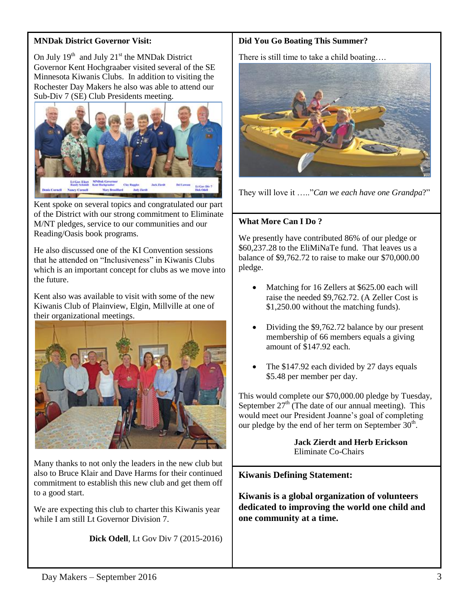## **MNDak District Governor Visit:**

On July  $19<sup>th</sup>$  and July  $21<sup>st</sup>$  the MNDak District Governor Kent Hochgraaber visited several of the SE Minnesota Kiwanis Clubs. In addition to visiting the Rochester Day Makers he also was able to attend our Sub-Div 7 (SE) Club Presidents meeting.



Kent spoke on several topics and congratulated our part of the District with our strong commitment to Eliminate M/NT pledges, service to our communities and our Reading/Oasis book programs.

He also discussed one of the KI Convention sessions that he attended on "Inclusiveness" in Kiwanis Clubs which is an important concept for clubs as we move into the future.

Kent also was available to visit with some of the new Kiwanis Club of Plainview, Elgin, Millville at one of their organizational meetings.



Many thanks to not only the leaders in the new club but also to Bruce Klair and Dave Harms for their continued commitment to establish this new club and get them off to a good start.

We are expecting this club to charter this Kiwanis year while I am still Lt Governor Division 7.

**Dick Odell**, Lt Gov Div 7 (2015-2016)

# **Did You Go Boating This Summer?**

There is still time to take a child boating….



They will love it ….."*Can we each have one Grandpa*?"

#### **What More Can I Do ?**

We presently have contributed 86% of our pledge or \$60,237.28 to the EliMiNaTe fund. That leaves us a balance of \$9,762.72 to raise to make our \$70,000.00 pledge.

- Matching for 16 Zellers at \$625.00 each will raise the needed \$9,762.72. (A Zeller Cost is \$1,250.00 without the matching funds).
- Dividing the \$9,762.72 balance by our present membership of 66 members equals a giving amount of \$147.92 each.
- The \$147.92 each divided by 27 days equals \$5.48 per member per day.

This would complete our \$70,000.00 pledge by Tuesday, September  $27<sup>th</sup>$  (The date of our annual meeting). This would meet our President Joanne's goal of completing our pledge by the end of her term on September  $30<sup>th</sup>$ .

> **Jack Zierdt and Herb Erickson** Eliminate Co-Chairs

**Kiwanis Defining Statement:**

**Kiwanis is a global organization of volunteers dedicated to improving the world one child and one community at a time.**